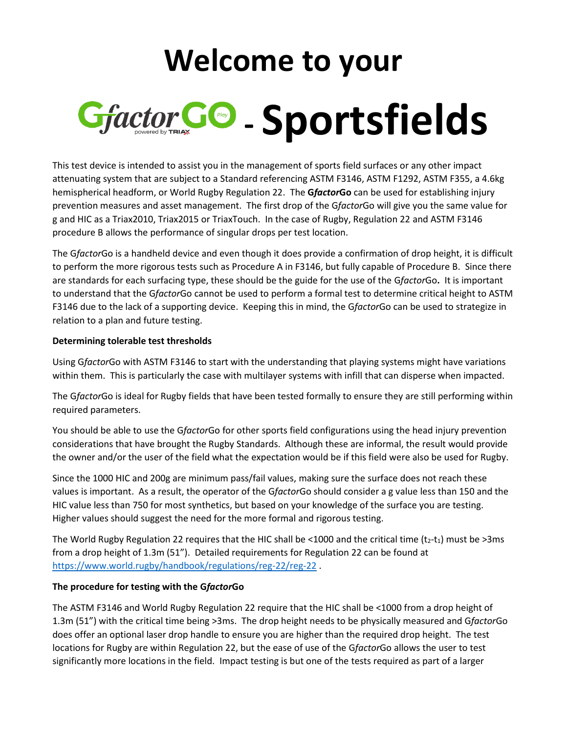## **Welcome to your - Sportsfields**

This test device is intended to assist you in the management of sports field surfaces or any other impact attenuating system that are subject to a Standard referencing ASTM F3146, ASTM F1292, ASTM F355, a 4.6kg hemispherical headform, or World Rugby Regulation 22. The **G***factor***Go** can be used for establishing injury prevention measures and asset management. The first drop of the G*factor*Go will give you the same value for g and HIC as a Triax2010, Triax2015 or TriaxTouch. In the case of Rugby, Regulation 22 and ASTM F3146 procedure B allows the performance of singular drops per test location.

The G*factor*Go is a handheld device and even though it does provide a confirmation of drop height, it is difficult to perform the more rigorous tests such as Procedure A in F3146, but fully capable of Procedure B. Since there are standards for each surfacing type, these should be the guide for the use of the G*factor*Go**.** It is important to understand that the G*factor*Go cannot be used to perform a formal test to determine critical height to ASTM F3146 due to the lack of a supporting device. Keeping this in mind, the G*factor*Go can be used to strategize in relation to a plan and future testing.

## **Determining tolerable test thresholds**

Using G*factor*Go with ASTM F3146 to start with the understanding that playing systems might have variations within them. This is particularly the case with multilayer systems with infill that can disperse when impacted.

The G*factor*Go is ideal for Rugby fields that have been tested formally to ensure they are still performing within required parameters.

You should be able to use the G*factor*Go for other sports field configurations using the head injury prevention considerations that have brought the Rugby Standards. Although these are informal, the result would provide the owner and/or the user of the field what the expectation would be if this field were also be used for Rugby.

Since the 1000 HIC and 200g are minimum pass/fail values, making sure the surface does not reach these values is important. As a result, the operator of the G*factor*Go should consider a g value less than 150 and the HIC value less than 750 for most synthetics, but based on your knowledge of the surface you are testing. Higher values should suggest the need for the more formal and rigorous testing.

The World Rugby Regulation 22 requires that the HIC shall be <1000 and the critical time ( $t_2-t_1$ ) must be >3ms from a drop height of 1.3m (51"). Detailed requirements for Regulation 22 can be found at <https://www.world.rugby/handbook/regulations/reg-22/reg-22> .

## **The procedure for testing with the G***factor***Go**

The ASTM F3146 and World Rugby Regulation 22 require that the HIC shall be <1000 from a drop height of 1.3m (51") with the critical time being >3ms. The drop height needs to be physically measured and G*factor*Go does offer an optional laser drop handle to ensure you are higher than the required drop height. The test locations for Rugby are within Regulation 22, but the ease of use of the G*factor*Go allows the user to test significantly more locations in the field. Impact testing is but one of the tests required as part of a larger